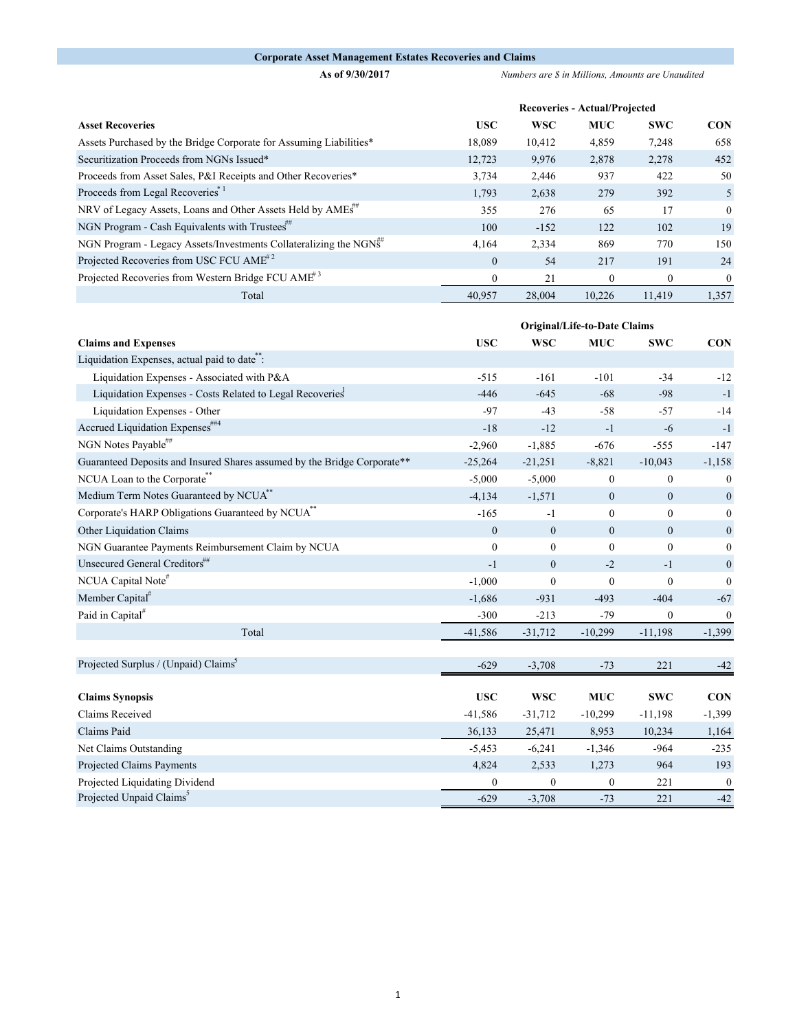## **Corporate Asset Management Estates Recoveries and Claims**

**As of 9/30/2017** *Numbers are \$ in Millions, Amounts are Unaudited*

|                                                                         | <b>Recoveries - Actual/Projected</b> |            |            |              |            |  |
|-------------------------------------------------------------------------|--------------------------------------|------------|------------|--------------|------------|--|
| <b>Asset Recoveries</b>                                                 | <b>USC</b>                           | <b>WSC</b> | <b>MUC</b> | <b>SWC</b>   | <b>CON</b> |  |
| Assets Purchased by the Bridge Corporate for Assuming Liabilities*      | 18,089                               | 10,412     | 4,859      | 7,248        | 658        |  |
| Securitization Proceeds from NGNs Issued*                               | 12,723                               | 9.976      | 2,878      | 2,278        | 452        |  |
| Proceeds from Asset Sales, P&I Receipts and Other Recoveries*           | 3,734                                | 2,446      | 937        | 422          | 50         |  |
| Proceeds from Legal Recoveries <sup>*1</sup>                            | 1,793                                | 2,638      | 279        | 392          | 5          |  |
| NRV of Legacy Assets, Loans and Other Assets Held by AMEs <sup>##</sup> | 355                                  | 276        | 65         | 17           | $\Omega$   |  |
| NGN Program - Cash Equivalents with Trustees"                           | 100                                  | $-152$     | 122        | 102          | 19         |  |
| NGN Program - Legacy Assets/Investments Collateralizing the NGNS        | 4,164                                | 2,334      | 869        | 770          | 150        |  |
| Projected Recoveries from USC FCU AME <sup>#2</sup>                     | $\Omega$                             | 54         | 217        | 191          | 24         |  |
| Projected Recoveries from Western Bridge FCU AME <sup>#3</sup>          | $\overline{0}$                       | 21         | $\Omega$   | $\mathbf{0}$ | $\theta$   |  |
| Total                                                                   | 40,957                               | 28,004     | 10.226     | 11,419       | 1,357      |  |

|                                                                          | Original/Life-to-Date Claims |                  |                |                  |                  |
|--------------------------------------------------------------------------|------------------------------|------------------|----------------|------------------|------------------|
| <b>Claims and Expenses</b>                                               | <b>USC</b>                   | <b>WSC</b>       | <b>MUC</b>     | <b>SWC</b>       | <b>CON</b>       |
| Liquidation Expenses, actual paid to date":                              |                              |                  |                |                  |                  |
| Liquidation Expenses - Associated with P&A                               | $-515$                       | $-161$           | $-101$         | $-34$            | $-12$            |
| Liquidation Expenses - Costs Related to Legal Recoveries                 | $-446$                       | $-645$           | $-68$          | $-98$            | $-1$             |
| Liquidation Expenses - Other                                             | $-97$                        | $-43$            | $-58$          | $-57$            | $-14$            |
| Accrued Liquidation Expenses##4                                          | $-18$                        | $-12$            | $-1$           | $-6$             | $-1$             |
| NGN Notes Payable##                                                      | $-2,960$                     | $-1,885$         | $-676$         | $-555$           | $-147$           |
| Guaranteed Deposits and Insured Shares assumed by the Bridge Corporate** | $-25,264$                    | $-21,251$        | $-8,821$       | $-10,043$        | $-1,158$         |
| NCUA Loan to the Corporate**                                             | $-5,000$                     | $-5,000$         | $\overline{0}$ | $\mathbf{0}$     | $\mathbf{0}$     |
| Medium Term Notes Guaranteed by NCUA <sup>**</sup>                       | $-4,134$                     | $-1,571$         | $\overline{0}$ | $\mathbf{0}$     | $\mathbf{0}$     |
| Corporate's HARP Obligations Guaranteed by NCUA <sup>**</sup>            | $-165$                       | $-1$             | $\mathbf{0}$   | $\theta$         | $\overline{0}$   |
| Other Liquidation Claims                                                 | $\mathbf{0}$                 | $\boldsymbol{0}$ | $\mathbf{0}$   | $\boldsymbol{0}$ | $\boldsymbol{0}$ |
| NGN Guarantee Payments Reimbursement Claim by NCUA                       | $\mathbf{0}$                 | $\boldsymbol{0}$ | $\overline{0}$ | $\mathbf{0}$     | $\mathbf{0}$     |
| Unsecured General Creditors##                                            | $-1$                         | $\overline{0}$   | $-2$           | $-1$             | $\boldsymbol{0}$ |
| NCUA Capital Note#                                                       | $-1,000$                     | $\mathbf{0}$     | $\mathbf{0}$   | $\mathbf{0}$     | $\mathbf{0}$     |
| Member Capital <sup>#</sup>                                              | $-1,686$                     | $-931$           | $-493$         | $-404$           | $-67$            |
| Paid in Capital <sup>#</sup>                                             | $-300$                       | $-213$           | $-79$          | $\mathbf{0}$     | $\boldsymbol{0}$ |
| Total                                                                    | $-41,586$                    | $-31,712$        | $-10,299$      | $-11,198$        | $-1,399$         |
|                                                                          |                              |                  |                |                  |                  |
| Projected Surplus / (Unpaid) Claims <sup>3</sup>                         | $-629$                       | $-3,708$         | $-73$          | 221              | $-42$            |
|                                                                          |                              |                  |                |                  |                  |
| <b>Claims Synopsis</b>                                                   | <b>USC</b>                   | <b>WSC</b>       | <b>MUC</b>     | <b>SWC</b>       | <b>CON</b>       |
| Claims Received                                                          | $-41,586$                    | $-31,712$        | $-10,299$      | $-11,198$        | $-1,399$         |
| Claims Paid                                                              | 36,133                       | 25,471           | 8,953          | 10,234           | 1,164            |
| Net Claims Outstanding                                                   | $-5,453$                     | $-6,241$         | $-1,346$       | $-964$           | $-235$           |
| Projected Claims Payments                                                | 4,824                        | 2,533            | 1,273          | 964              | 193              |
| Projected Liquidating Dividend                                           | 0                            | $\mathbf{0}$     | $\mathbf{0}$   | 221              | $\boldsymbol{0}$ |
| Projected Unpaid Claims <sup>5</sup>                                     | $-629$                       | $-3,708$         | $-73$          | 221              | $-42$            |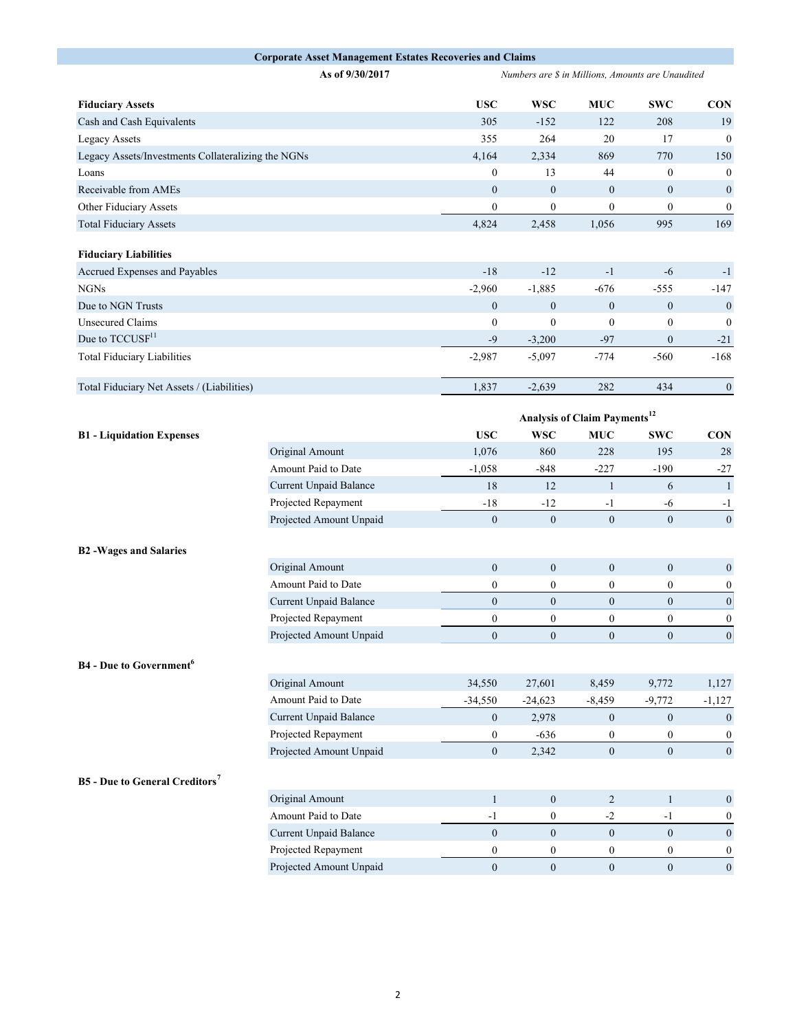|                                                    | <b>Corporate Asset Management Estates Recoveries and Claims</b> |                  |                                                   |                                          |                  |                  |
|----------------------------------------------------|-----------------------------------------------------------------|------------------|---------------------------------------------------|------------------------------------------|------------------|------------------|
|                                                    | As of 9/30/2017                                                 |                  | Numbers are \$ in Millions, Amounts are Unaudited |                                          |                  |                  |
| <b>Fiduciary Assets</b>                            |                                                                 | <b>USC</b>       | <b>WSC</b>                                        | <b>MUC</b>                               | <b>SWC</b>       | <b>CON</b>       |
| Cash and Cash Equivalents                          |                                                                 | 305              | $-152$                                            | 122                                      | 208              | 19               |
| Legacy Assets                                      |                                                                 | 355              | 264                                               | 20                                       | 17               | $\boldsymbol{0}$ |
| Legacy Assets/Investments Collateralizing the NGNs |                                                                 | 4,164            | 2,334                                             | 869                                      | 770              | 150              |
| Loans                                              |                                                                 | $\overline{0}$   | 13                                                | 44                                       | $\mathbf{0}$     | $\mathbf{0}$     |
| Receivable from AMEs                               |                                                                 | $\mathbf{0}$     | $\boldsymbol{0}$                                  | $\boldsymbol{0}$                         | $\mathbf{0}$     | $\mathbf{0}$     |
| Other Fiduciary Assets                             |                                                                 | $\mathbf{0}$     | $\boldsymbol{0}$                                  | $\overline{0}$                           | $\mathbf{0}$     | $\boldsymbol{0}$ |
| <b>Total Fiduciary Assets</b>                      |                                                                 | 4,824            | 2,458                                             | 1,056                                    | 995              | 169              |
| <b>Fiduciary Liabilities</b>                       |                                                                 |                  |                                                   |                                          |                  |                  |
| Accrued Expenses and Payables                      |                                                                 | $-18$            | $-12$                                             | $-1$                                     | $-6$             | $-1$             |
| <b>NGNs</b>                                        |                                                                 | $-2,960$         | $-1,885$                                          | $-676$                                   | $-555$           | $-147$           |
| Due to NGN Trusts                                  |                                                                 | $\mathbf{0}$     | $\boldsymbol{0}$                                  | $\mathbf{0}$                             | $\mathbf{0}$     | $\mathbf{0}$     |
| <b>Unsecured Claims</b>                            |                                                                 | $\boldsymbol{0}$ | $\boldsymbol{0}$                                  | $\boldsymbol{0}$                         | $\boldsymbol{0}$ | $\overline{0}$   |
| Due to TCCUSF <sup>11</sup>                        |                                                                 | $-9$             | $-3,200$                                          | $-97$                                    | $\mathbf{0}$     | $-21$            |
| <b>Total Fiduciary Liabilities</b>                 |                                                                 | $-2,987$         | $-5,097$                                          | $-774$                                   | $-560$           | $-168$           |
| Total Fiduciary Net Assets / (Liabilities)         |                                                                 | 1,837            | $-2,639$                                          | 282                                      | 434              | $\boldsymbol{0}$ |
|                                                    |                                                                 |                  |                                                   | Analysis of Claim Payments <sup>12</sup> |                  |                  |
| <b>B1</b> - Liquidation Expenses                   |                                                                 | <b>USC</b>       | <b>WSC</b>                                        | <b>MUC</b>                               | <b>SWC</b>       | <b>CON</b>       |
|                                                    | Original Amount                                                 | 1,076            | 860                                               | 228                                      | 195              | 28               |
|                                                    | Amount Paid to Date                                             | $-1,058$         | $-848$                                            | $-227$                                   | $-190$           | $-27$            |
|                                                    | Current Unpaid Balance                                          | 18               | 12                                                | $\mathbf{1}$                             | 6                | $\mathbf{1}$     |
|                                                    | Projected Repayment                                             | $-18$            | $-12$                                             | $-1$                                     | -6               | $-1$             |
|                                                    | Projected Amount Unpaid                                         | $\mathbf{0}$     | $\boldsymbol{0}$                                  | $\boldsymbol{0}$                         | $\boldsymbol{0}$ | $\boldsymbol{0}$ |
|                                                    |                                                                 |                  |                                                   |                                          |                  |                  |
| <b>B2-Wages and Salaries</b>                       |                                                                 |                  |                                                   |                                          |                  |                  |
|                                                    | Original Amount                                                 | $\boldsymbol{0}$ | $\boldsymbol{0}$                                  | $\boldsymbol{0}$                         | $\mathbf{0}$     | $\mathbf{0}$     |
|                                                    | Amount Paid to Date                                             | $\boldsymbol{0}$ | $\boldsymbol{0}$                                  | $\boldsymbol{0}$                         | $\bf{0}$         | $\boldsymbol{0}$ |
|                                                    | Current Unpaid Balance                                          | $\boldsymbol{0}$ | $\mathbf{0}$                                      | $\overline{0}$                           | $\mathbf{0}$     | $\boldsymbol{0}$ |
|                                                    | Projected Repayment                                             | $\boldsymbol{0}$ | $\mathbf{0}$                                      | $\boldsymbol{0}$                         | $\mathbf{0}$     | $\boldsymbol{0}$ |
|                                                    | Projected Amount Unpaid                                         | $\boldsymbol{0}$ | $\mathbf{0}$                                      | $\boldsymbol{0}$                         | $\mathbf{0}$     | $\mathbf{0}$     |
| <b>B4</b> - Due to Government <sup>6</sup>         |                                                                 |                  |                                                   |                                          |                  |                  |
|                                                    | Original Amount                                                 | 34,550           | 27,601                                            | 8,459                                    | 9,772            | 1,127            |
|                                                    | Amount Paid to Date                                             | $-34,550$        | $-24,623$                                         | $-8,459$                                 | $-9,772$         | $-1,127$         |
|                                                    | Current Unpaid Balance                                          | $\mathbf{0}$     | 2,978                                             | $\overline{0}$                           | $\mathbf{0}$     | $\boldsymbol{0}$ |
|                                                    | Projected Repayment                                             | $\boldsymbol{0}$ | $-636$                                            | $\boldsymbol{0}$                         | $\bf{0}$         | $\boldsymbol{0}$ |
|                                                    | Projected Amount Unpaid                                         | $\boldsymbol{0}$ | 2,342                                             | $\overline{0}$                           | $\mathbf{0}$     | $\mathbf{0}$     |
| <b>B5</b> - Due to General Creditors <sup>7</sup>  |                                                                 |                  |                                                   |                                          |                  |                  |
|                                                    | Original Amount                                                 | $\mathbf{1}$     | $\boldsymbol{0}$                                  | $\overline{c}$                           | $\mathbf{1}$     | $\mathbf{0}$     |
|                                                    | Amount Paid to Date                                             | $-1$             | $\boldsymbol{0}$                                  | $\mbox{-}2$                              | $-1$             | $\mathbf{0}$     |
|                                                    | <b>Current Unpaid Balance</b>                                   | $\mathbf{0}$     | $\overline{0}$                                    | $\overline{0}$                           | $\mathbf{0}$     | $\mathbf{0}$     |
|                                                    | Projected Repayment                                             | $\boldsymbol{0}$ | $\boldsymbol{0}$                                  | $\boldsymbol{0}$                         | $\boldsymbol{0}$ | $\boldsymbol{0}$ |
|                                                    | Projected Amount Unpaid                                         | $\boldsymbol{0}$ | $\mathbf{0}$                                      | $\overline{0}$                           | $\overline{0}$   | $\mathbf{0}$     |